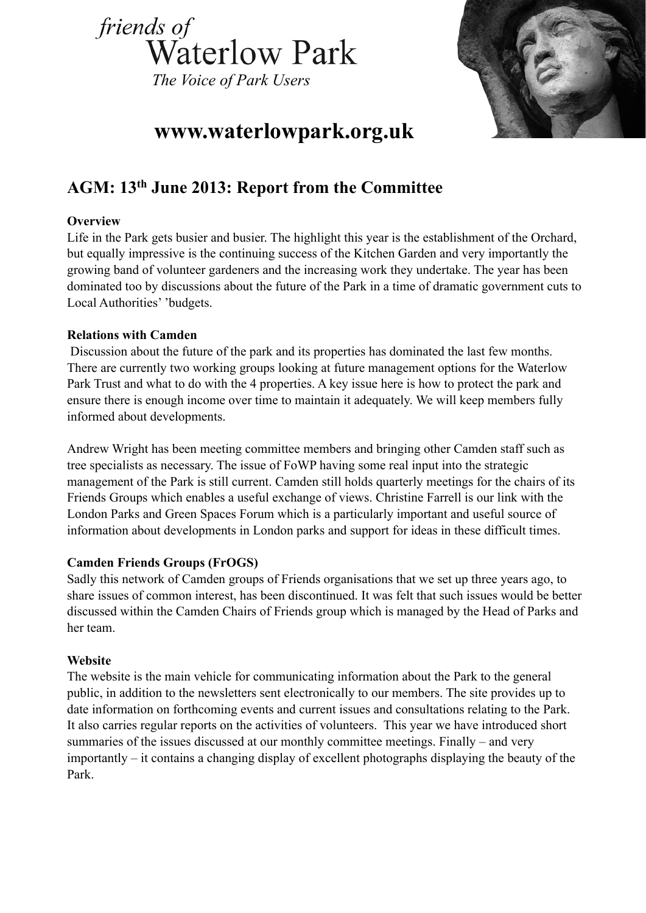



# **www.waterlowpark.org.uk**

# **AGM: 13th June 2013: Report from the Committee**

# **Overview**

Life in the Park gets busier and busier. The highlight this year is the establishment of the Orchard, but equally impressive is the continuing success of the Kitchen Garden and very importantly the growing band of volunteer gardeners and the increasing work they undertake. The year has been dominated too by discussions about the future of the Park in a time of dramatic government cuts to Local Authorities' 'budgets.

# **Relations with Camden**

 Discussion about the future of the park and its properties has dominated the last few months. There are currently two working groups looking at future management options for the Waterlow Park Trust and what to do with the 4 properties. A key issue here is how to protect the park and ensure there is enough income over time to maintain it adequately. We will keep members fully informed about developments.

Andrew Wright has been meeting committee members and bringing other Camden staff such as tree specialists as necessary. The issue of FoWP having some real input into the strategic management of the Park is still current. Camden still holds quarterly meetings for the chairs of its Friends Groups which enables a useful exchange of views. Christine Farrell is our link with the London Parks and Green Spaces Forum which is a particularly important and useful source of information about developments in London parks and support for ideas in these difficult times.

# **Camden Friends Groups (FrOGS)**

Sadly this network of Camden groups of Friends organisations that we set up three years ago, to share issues of common interest, has been discontinued. It was felt that such issues would be better discussed within the Camden Chairs of Friends group which is managed by the Head of Parks and her team.

# **Website**

The website is the main vehicle for communicating information about the Park to the general public, in addition to the newsletters sent electronically to our members. The site provides up to date information on forthcoming events and current issues and consultations relating to the Park. It also carries regular reports on the activities of volunteers. This year we have introduced short summaries of the issues discussed at our monthly committee meetings. Finally – and very importantly – it contains a changing display of excellent photographs displaying the beauty of the Park.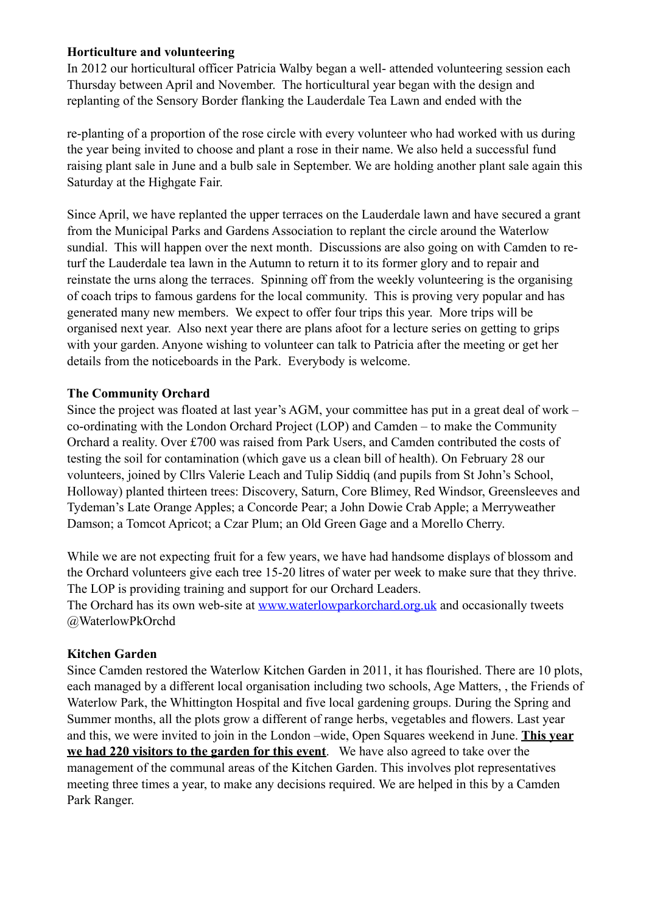# **Horticulture and volunteering**

In 2012 our horticultural officer Patricia Walby began a well- attended volunteering session each Thursday between April and November. The horticultural year began with the design and replanting of the Sensory Border flanking the Lauderdale Tea Lawn and ended with the

re-planting of a proportion of the rose circle with every volunteer who had worked with us during the year being invited to choose and plant a rose in their name. We also held a successful fund raising plant sale in June and a bulb sale in September. We are holding another plant sale again this Saturday at the Highgate Fair.

Since April, we have replanted the upper terraces on the Lauderdale lawn and have secured a grant from the Municipal Parks and Gardens Association to replant the circle around the Waterlow sundial. This will happen over the next month. Discussions are also going on with Camden to returf the Lauderdale tea lawn in the Autumn to return it to its former glory and to repair and reinstate the urns along the terraces. Spinning off from the weekly volunteering is the organising of coach trips to famous gardens for the local community. This is proving very popular and has generated many new members. We expect to offer four trips this year. More trips will be organised next year. Also next year there are plans afoot for a lecture series on getting to grips with your garden. Anyone wishing to volunteer can talk to Patricia after the meeting or get her details from the noticeboards in the Park. Everybody is welcome.

# **The Community Orchard**

Since the project was floated at last year's AGM, your committee has put in a great deal of work – co-ordinating with the London Orchard Project (LOP) and Camden – to make the Community Orchard a reality. Over £700 was raised from Park Users, and Camden contributed the costs of testing the soil for contamination (which gave us a clean bill of health). On February 28 our volunteers, joined by Cllrs Valerie Leach and Tulip Siddiq (and pupils from St John's School, Holloway) planted thirteen trees: Discovery, Saturn, Core Blimey, Red Windsor, Greensleeves and Tydeman's Late Orange Apples; a Concorde Pear; a John Dowie Crab Apple; a Merryweather Damson; a Tomcot Apricot; a Czar Plum; an Old Green Gage and a Morello Cherry.

While we are not expecting fruit for a few years, we have had handsome displays of blossom and the Orchard volunteers give each tree 15-20 litres of water per week to make sure that they thrive. The LOP is providing training and support for our Orchard Leaders. The Orchard has its own web-site at [www.waterlowparkorchard.org.uk](http://www.waterlowparkorchard.org.uk) and occasionally tweets @WaterlowPkOrchd

# **Kitchen Garden**

Since Camden restored the Waterlow Kitchen Garden in 2011, it has flourished. There are 10 plots, each managed by a different local organisation including two schools, Age Matters, , the Friends of Waterlow Park, the Whittington Hospital and five local gardening groups. During the Spring and Summer months, all the plots grow a different of range herbs, vegetables and flowers. Last year and this, we were invited to join in the London –wide, Open Squares weekend in June. **This year we had 220 visitors to the garden for this event**. We have also agreed to take over the management of the communal areas of the Kitchen Garden. This involves plot representatives meeting three times a year, to make any decisions required. We are helped in this by a Camden Park Ranger.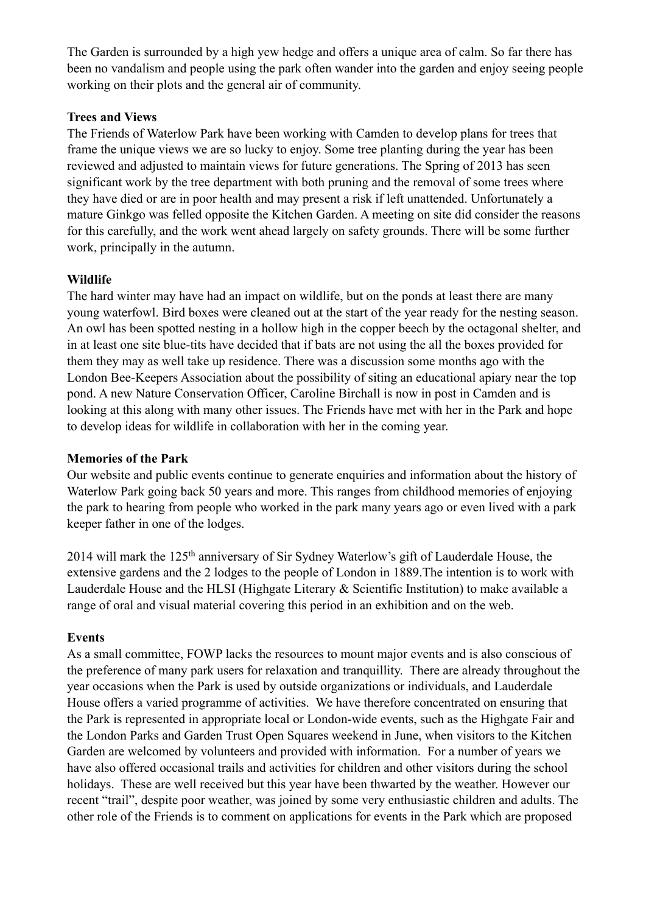The Garden is surrounded by a high yew hedge and offers a unique area of calm. So far there has been no vandalism and people using the park often wander into the garden and enjoy seeing people working on their plots and the general air of community.

#### **Trees and Views**

The Friends of Waterlow Park have been working with Camden to develop plans for trees that frame the unique views we are so lucky to enjoy. Some tree planting during the year has been reviewed and adjusted to maintain views for future generations. The Spring of 2013 has seen significant work by the tree department with both pruning and the removal of some trees where they have died or are in poor health and may present a risk if left unattended. Unfortunately a mature Ginkgo was felled opposite the Kitchen Garden. A meeting on site did consider the reasons for this carefully, and the work went ahead largely on safety grounds. There will be some further work, principally in the autumn.

# **Wildlife**

The hard winter may have had an impact on wildlife, but on the ponds at least there are many young waterfowl. Bird boxes were cleaned out at the start of the year ready for the nesting season. An owl has been spotted nesting in a hollow high in the copper beech by the octagonal shelter, and in at least one site blue-tits have decided that if bats are not using the all the boxes provided for them they may as well take up residence. There was a discussion some months ago with the London Bee-Keepers Association about the possibility of siting an educational apiary near the top pond. A new Nature Conservation Officer, Caroline Birchall is now in post in Camden and is looking at this along with many other issues. The Friends have met with her in the Park and hope to develop ideas for wildlife in collaboration with her in the coming year.

# **Memories of the Park**

Our website and public events continue to generate enquiries and information about the history of Waterlow Park going back 50 years and more. This ranges from childhood memories of enjoying the park to hearing from people who worked in the park many years ago or even lived with a park keeper father in one of the lodges.

2014 will mark the 125th anniversary of Sir Sydney Waterlow's gift of Lauderdale House, the extensive gardens and the 2 lodges to the people of London in 1889.The intention is to work with Lauderdale House and the HLSI (Highgate Literary & Scientific Institution) to make available a range of oral and visual material covering this period in an exhibition and on the web.

# **Events**

As a small committee, FOWP lacks the resources to mount major events and is also conscious of the preference of many park users for relaxation and tranquillity. There are already throughout the year occasions when the Park is used by outside organizations or individuals, and Lauderdale House offers a varied programme of activities. We have therefore concentrated on ensuring that the Park is represented in appropriate local or London-wide events, such as the Highgate Fair and the London Parks and Garden Trust Open Squares weekend in June, when visitors to the Kitchen Garden are welcomed by volunteers and provided with information. For a number of years we have also offered occasional trails and activities for children and other visitors during the school holidays. These are well received but this year have been thwarted by the weather. However our recent "trail", despite poor weather, was joined by some very enthusiastic children and adults. The other role of the Friends is to comment on applications for events in the Park which are proposed